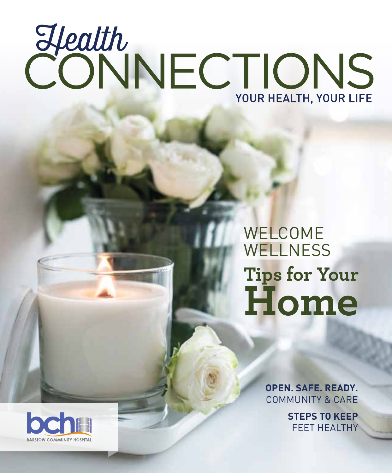# EXPORT DU POUR HEALTH, YOUR LIFE

## WELCOME **WELLNESS Tips for Your Home**

**OPEN. SAFE. READY.** COMMUNITY & CARE

> **STEPS TO KEEP** FEET HEALTHY

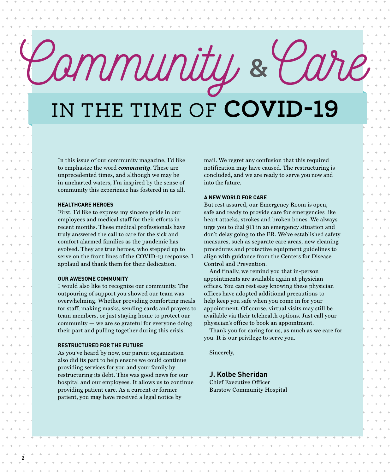## Community IN THE TIME OF **COVID-19 &**Care

In this issue of our community magazine, I'd like to emphasize the word *community*. These are unprecedented times, and although we may be in uncharted waters, I'm inspired by the sense of community this experience has fostered in us all.

#### **HEALTHCARE HEROES**

First, I'd like to express my sincere pride in our employees and medical staff for their efforts in recent months. These medical professionals have truly answered the call to care for the sick and comfort alarmed families as the pandemic has evolved. They are true heroes, who stepped up to serve on the front lines of the COVID-19 response. I applaud and thank them for their dedication.

#### **OUR AWESOME COMMUNITY**

I would also like to recognize our community. The outpouring of support you showed our team was overwhelming. Whether providing comforting meals for staff, making masks, sending cards and prayers to team members, or just staying home to protect our community — we are so grateful for everyone doing their part and pulling together during this crisis.

#### **RESTRUCTURED FOR THE FUTURE**

**2**

As you've heard by now, our parent organization also did its part to help ensure we could continue providing services for you and your family by restructuring its debt. This was good news for our hospital and our employees. It allows us to continue providing patient care. As a current or former patient, you may have received a legal notice by

 $\alpha = \alpha - \alpha - \alpha$  .

mail. We regret any confusion that this required notification may have caused. The restructuring is concluded, and we are ready to serve you now and into the future.

#### **A NEW WORLD FOR CARE**

But rest assured, our Emergency Room is open, safe and ready to provide care for emergencies like heart attacks, strokes and broken bones. We always urge you to dial 911 in an emergency situation and don't delay going to the ER. We've established safety measures, such as separate care areas, new cleaning procedures and protective equipment guidelines to align with guidance from the Centers for Disease Control and Prevention.

And finally, we remind you that in-person appointments are available again at physician offices. You can rest easy knowing these physician offices have adopted additional precautions to help keep you safe when you come in for your appointment. Of course, virtual visits may still be available via their telehealth options. Just call your physician's office to book an appointment.

Thank you for caring for us, as much as we care for you. It is our privilege to serve you.

Sincerely,

#### **J. Kolbe Sheridan**

Chief Executive Officer Barstow Community Hospital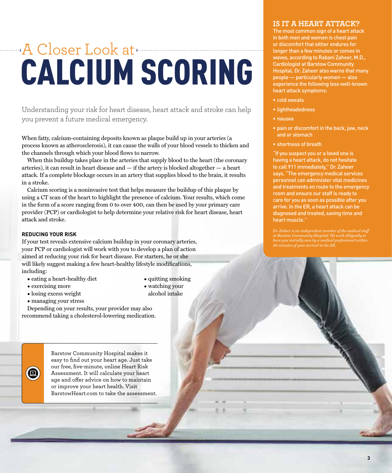## A Closer Look at CALCIUM SCORING

Understanding your risk for heart disease, heart attack and stroke can help you prevent a future medical emergency.

When fatty, calcium-containing deposits known as plaque build up in your arteries (a process known as atherosclerosis), it can cause the walls of your blood vessels to thicken and the channels through which your blood flows to narrow.

When this buildup takes place in the arteries that supply blood to the heart (the coronary arteries), it can result in heart disease and  $-$  if the artery is blocked altogether  $-$  a heart attack. If a complete blockage occurs in an artery that supplies blood to the brain, it results in a stroke.

Calcium scoring is a noninvasive test that helps measure the buildup of this plaque by using a CT scan of the heart to highlight the presence of calcium. Your results, which come in the form of a score ranging from 0 to over 400, can then be used by your primary care provider (PCP) or cardiologist to help determine your relative risk for heart disease, heart attack and stroke.

#### **REDUCING YOUR RISK**

If your test reveals extensive calcium buildup in your coronary arteries, your PCP or cardiologist will work with you to develop a plan of action aimed at reducing your risk for heart disease. For starters, he or she will likely suggest making a few heart-healthy lifestyle modifications, including:

- eating a heart-healthy diet
- exercising more

 $\left( \blacksquare \right)$ 

- losing excess weight
- managing your stress

Depending on your results, your provider may also recommend taking a cholesterol-lowering medication.

> Barstow Community Hospital makes it easy to find out your heart age. Just take our free, five-minute, online Heart Risk Assessment. It will calculate your heart age and offer advice on how to maintain or improve your heart health. Visit BarstowHeart.com to take the assessment.

#### • quitting smoking

• watching your alcohol intake

#### **IS IT A HEART ATTACK?**

The most common sign of a heart attack in both men and women is chest pain or discomfort that either endures for longer than a few minutes or comes in waves, according to Rabani Zaheer, M.D., Cardiologist at Barstow Community Hospital. Dr. Zaheer also warns that many people — particularly women — also experience the following less well-known heart attack symptoms:

- cold sweats
- lightheadedness
- nausea
- pain or discomfort in the back, jaw, neck and or stomach
- shortness of breath

"If you suspect you or a loved one is having a heart attack, do not hesitate to call 911 immediately," Dr. Zaheer says. "The emergency medical services personnel can administer vital medicines and treatments en route to the emergency room and ensure our staff is ready to care for you as soon as possible after you arrive. In the ER, a heart attack can be diagnosed and treated, saving time and heart muscle."

*Dr. Zaheer is an independent member of the medical staff at Barstow Community Hospital. We work diligently to have you initially seen by a medical professional within 30 minutes of your arrival in the ER.*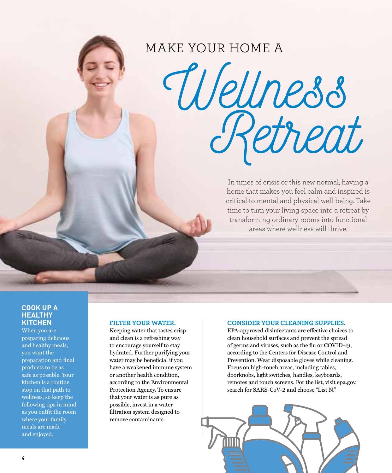### MAKE YOUR HOME A

Wellness<br>Retreat

In times of crisis or this new normal, having a home that makes you feel calm and inspired is critical to mental and physical well-being. Take time to turn your living space into a retreat by transforming ordinary rooms into functional areas where wellness will thrive.

#### **COOK UP A HEALTHY KITCHEN**

When you are preparing delicious and healthy meals, you want the preparation and final products to be as safe as possible. Your kitchen is a routine stop on that path to wellness, so keep the following tips in mind as you outfit the room where your family meals are made and enjoyed.

#### **FILTER YOUR WATER.**

Keeping water that tastes crisp and clean is a refreshing way to encourage yourself to stay hydrated. Further purifying your water may be beneficial if you have a weakened immune system or another health condition, according to the Environmental Protection Agency. To ensure that your water is as pure as possible, invest in a water filtration system designed to remove contaminants.

#### **CONSIDER YOUR CLEANING SUPPLIES.**

EPA-approved disinfectants are effective choices to clean household surfaces and prevent the spread of germs and viruses, such as the flu or COVID-19, according to the Centers for Disease Control and Prevention. Wear disposable gloves while cleaning. Focus on high-touch areas, including tables, doorknobs, light switches, handles, keyboards, remotes and touch screens. For the list, visit epa.gov, search for SARS-CoV-2 and choose "List N."

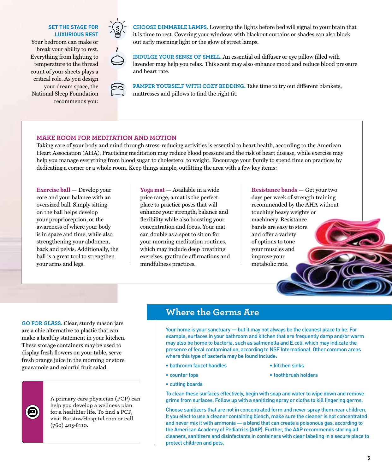#### **SET THE STAGE FOR LUXURIOUS REST**

Your bedroom can make or break your ability to rest. Everything from lighting to temperature to the thread count of your sheets plays a critical role. As you design your dream space, the National Sleep Foundation recommends you:



**CHOOSE DIMMABLE LAMPS.** Lowering the lights before bed will signal to your brain that it is time to rest. Covering your windows with blackout curtains or shades can also block out early morning light or the glow of street lamps.

**INDULGE YOUR SENSE OF SMELL.** An essential oil diffuser or eye pillow filled with lavender may help you relax. This scent may also enhance mood and reduce blood pressure and heart rate.

**PAMPER YOURSELF WITH COZY BEDDING.** Take time to try out different blankets, mattresses and pillows to find the right fit.

#### **MAKE ROOM FOR MEDITATION AND MOTION**

Taking care of your body and mind through stress-reducing activities is essential to heart health, according to the American Heart Association (AHA). Practicing meditation may reduce blood pressure and the risk of heart disease, while exercise may help you manage everything from blood sugar to cholesterol to weight. Encourage your family to spend time on practices by dedicating a corner or a whole room. Keep things simple, outfitting the area with a few key items:

**Exercise ball** — Develop your core and your balance with an oversized ball. Simply sitting on the ball helps develop your proprioception, or the awareness of where your body is in space and time, while also strengthening your abdomen, back and pelvis. Additionally, the ball is a great tool to strengthen your arms and legs.

**Yoga mat** — Available in a wide price range, a mat is the perfect place to practice poses that will enhance your strength, balance and flexibility while also boosting your concentration and focus. Your mat can double as a spot to sit on for your morning meditation routines, which may include deep breathing exercises, gratitude affirmations and mindfulness practices.

**Resistance bands** — Get your two days per week of strength training recommended by the AHA without touching heavy weights or machinery. Resistance bands are easy to store and offer a variety of options to tone your muscles and improve your metabolic rate.

**GO FOR GLASS.** Clear, sturdy mason jars are a chic alternative to plastic that can make a healthy statement in your kitchen. These storage containers may be used to display fresh flowers on your table, serve fresh orange juice in the morning or store guacamole and colorful fruit salad.



A primary care physician (PCP) can help you develop a wellness plan for a healthier life. To find a PCP, visit BarstowHospital.com or call (760) 405-8110.

#### **Where the Germs Are**

Your home is your sanctuary — but it may not always be the cleanest place to be. For example, surfaces in your bathroom and kitchen that are frequently damp and/or warm may also be home to bacteria, such as salmonella and E.coli, which may indicate the presence of fecal contamination, according to NSF International. Other common areas where this type of bacteria may be found include:

- bathroom faucet handles
- kitchen sinks
- toothbrush holders

• counter tops • cutting boards

To clean these surfaces effectively, begin with soap and water to wipe down and remove grime from surfaces. Follow up with a sanitizing spray or cloths to kill lingering germs.

Choose sanitizers that are not in concentrated form and never spray them near children. It you elect to use a cleaner containing bleach, make sure the cleaner is not concentrated and never mix it with ammonia — a blend that can create a poisonous gas, according to the American Academy of Pediatrics (AAP). Further, the AAP recommends storing all cleaners, sanitizers and disinfectants in containers with clear labeling in a secure place to protect children and pets.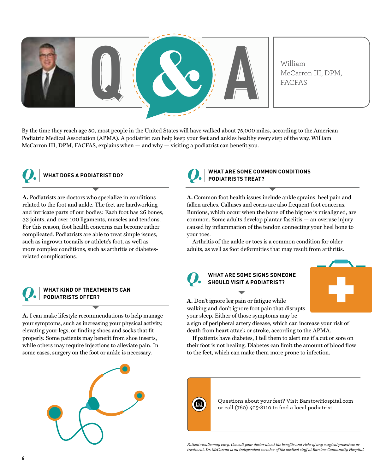

By the time they reach age 50, most people in the United States will have walked about 75,000 miles, according to the American Podiatric Medical Association (APMA). A podiatrist can help keep your feet and ankles healthy every step of the way. William McCarron III, DPM, FACFAS, explains when — and why — visiting a podiatrist can benefit you.



#### **WHAT DOES A PODIATRIST DO?**

**A.** Podiatrists are doctors who specialize in conditions related to the foot and ankle. The feet are hardworking and intricate parts of our bodies: Each foot has 26 bones, 33 joints, and over 100 ligaments, muscles and tendons. For this reason, foot health concerns can become rather complicated. Podiatrists are able to treat simple issues, such as ingrown toenails or athlete's foot, as well as more complex conditions, such as arthritis or diabetesrelated complications.



#### **WHAT KIND OF TREATMENTS CAN PODIATRISTS OFFER?**

**A.** I can make lifestyle recommendations to help manage your symptoms, such as increasing your physical activity, elevating your legs, or finding shoes and socks that fit properly. Some patients may benefit from shoe inserts, while others may require injections to alleviate pain. In some cases, surgery on the foot or ankle is necessary.





#### **WHAT ARE SOME COMMON CONDITIONS PODIATRISTS TREAT?**

**A.** Common foot health issues include ankle sprains, heel pain and fallen arches. Calluses and corns are also frequent foot concerns. Bunions, which occur when the bone of the big toe is misaligned, are common. Some adults develop plantar fasciitis — an overuse injury caused by inflammation of the tendon connecting your heel bone to your toes.

Arthritis of the ankle or toes is a common condition for older adults, as well as foot deformities that may result from arthritis.

#### *Q.* **WHAT ARE SOME SIGNS SOMEONE SHOULD VISIT A PODIATRIST?**



**A.** Don't ignore leg pain or fatigue while walking and don't ignore foot pain that disrupts your sleep. Either of those symptoms may be

a sign of peripheral artery disease, which can increase your risk of death from heart attack or stroke, according to the APMA.

If patients have diabetes, I tell them to alert me if a cut or sore on their foot is not healing. Diabetes can limit the amount of blood flow to the feet, which can make them more prone to infection.



Questions about your feet? Visit BarstowHospital.com or call (760) 405-8110 to find a local podiatrist.

*Patient results may vary. Consult your doctor about the benefits and risks of any surgical procedure or treatment. Dr. McCarron is an independent member of the medical staff at Barstow Community Hospital.*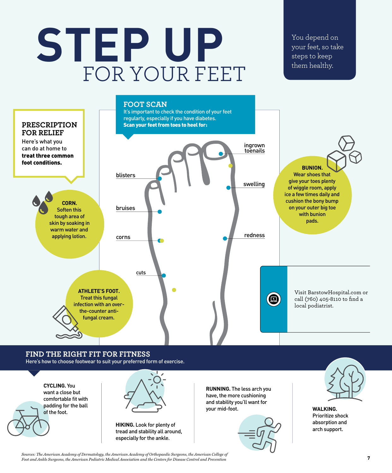# **STEP UP** FOR YOUR FEET

You depend on your feet, so take steps to keep them healthy.



#### **FIND THE RIGHT FIT FOR FITNESS** Here's how to choose footwear to suit your preferred form of exercise.





**HIKING.** Look for plenty of tread and stability all around, especially for the ankle.

**RUNNING.** The less arch you have, the more cushioning and stability you'll want for your mid-foot. **WALKING.**





Prioritize shock absorption and arch support.

*Sources: The American Academy of Dermatology, the American Academy of Orthopaedic Surgeons, the American College of Foot and Ankle Surgeons, the American Podiatric Medical Association and the Centers for Disease Control and Prevention*